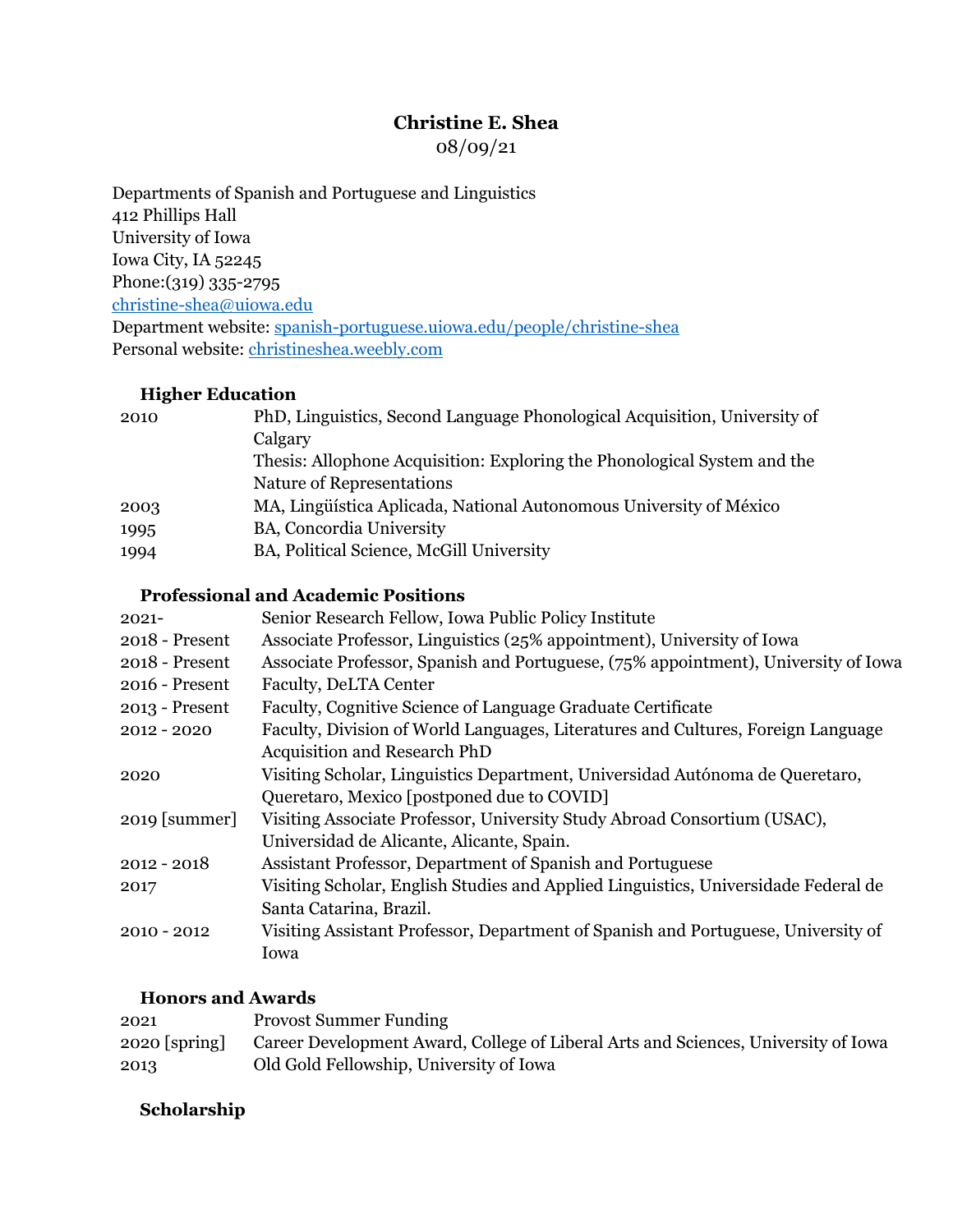## **Christine E. Shea**

08/09/21

Departments of Spanish and Portuguese and Linguistics 412 Phillips Hall University of Iowa Iowa City, IA 52245 Phone:(319) 335-2795 christine-shea@uiowa.edu Department website: spanish-portuguese.uiowa.edu/people/christine-shea Personal website: christineshea.weebly.com

#### **Higher Education**

| 2010 | PhD, Linguistics, Second Language Phonological Acquisition, University of |
|------|---------------------------------------------------------------------------|
|      | Calgary                                                                   |
|      | Thesis: Allophone Acquisition: Exploring the Phonological System and the  |
|      | Nature of Representations                                                 |
| 2003 | MA, Lingüística Aplicada, National Autonomous University of México        |
| 1995 | <b>BA, Concordia University</b>                                           |
| 1994 | BA, Political Science, McGill University                                  |
|      |                                                                           |

#### **Professional and Academic Positions**

| $2021 -$         | Senior Research Fellow, Iowa Public Policy Institute                               |
|------------------|------------------------------------------------------------------------------------|
| 2018 - Present   | Associate Professor, Linguistics (25% appointment), University of Iowa             |
| 2018 - Present   | Associate Professor, Spanish and Portuguese, (75% appointment), University of Iowa |
| 2016 - Present   | <b>Faculty, DeLTA Center</b>                                                       |
| $2013$ - Present | Faculty, Cognitive Science of Language Graduate Certificate                        |
| $2012 - 2020$    | Faculty, Division of World Languages, Literatures and Cultures, Foreign Language   |
|                  | <b>Acquisition and Research PhD</b>                                                |
| 2020             | Visiting Scholar, Linguistics Department, Universidad Autónoma de Queretaro,       |
|                  | Queretaro, Mexico [postponed due to COVID]                                         |
| $2019$ [summer]  | Visiting Associate Professor, University Study Abroad Consortium (USAC),           |
|                  | Universidad de Alicante, Alicante, Spain.                                          |
| $2012 - 2018$    | Assistant Professor, Department of Spanish and Portuguese                          |
| 2017             | Visiting Scholar, English Studies and Applied Linguistics, Universidade Federal de |
|                  | Santa Catarina, Brazil.                                                            |
| $2010 - 2012$    | Visiting Assistant Professor, Department of Spanish and Portuguese, University of  |
|                  | Iowa                                                                               |

#### **Honors and Awards**

| 2021            | <b>Provost Summer Funding</b>                                                      |
|-----------------|------------------------------------------------------------------------------------|
| $2020$ [spring] | Career Development Award, College of Liberal Arts and Sciences, University of Iowa |
| 2013            | Old Gold Fellowship, University of Iowa                                            |

## **Scholarship**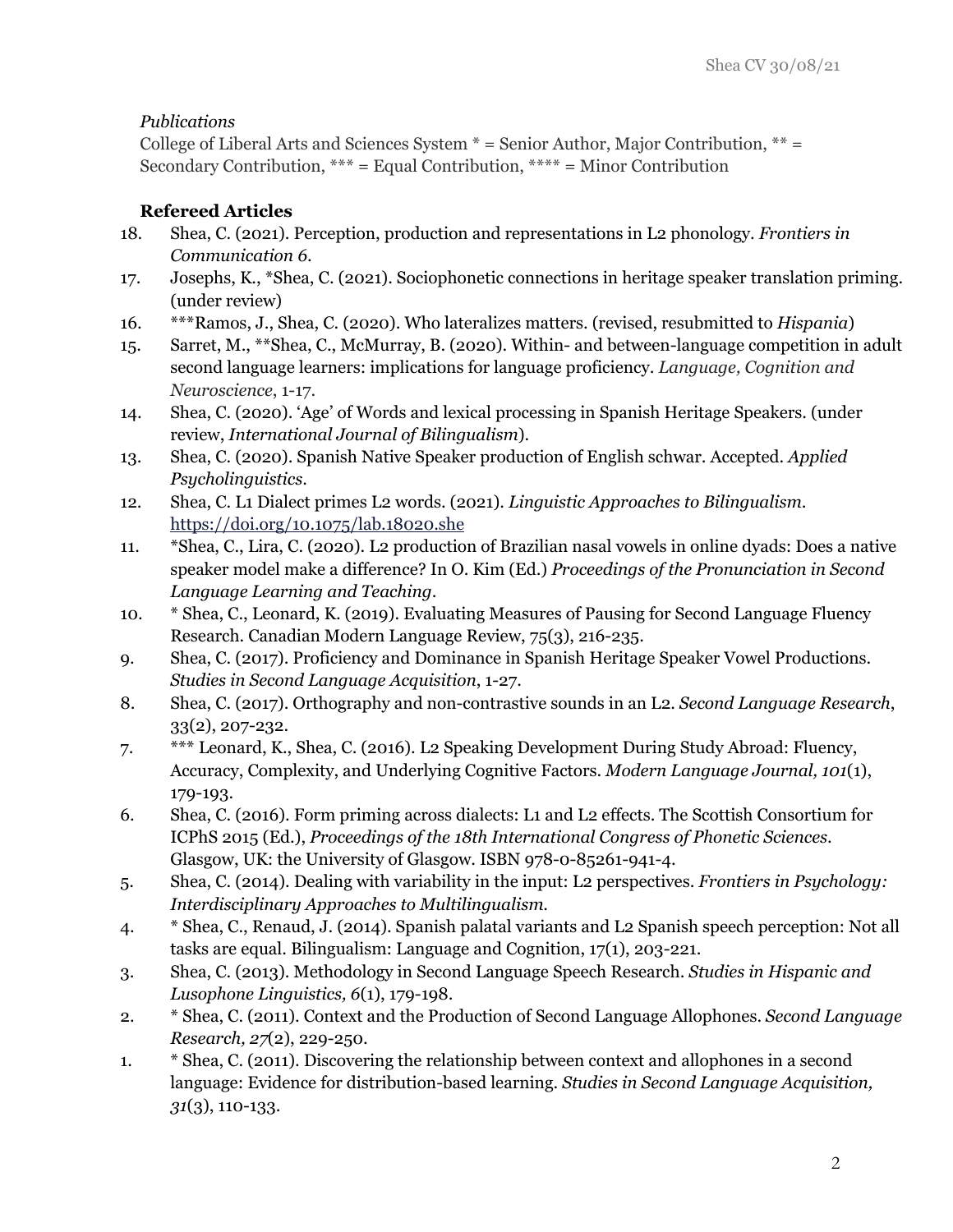## *Publications*

College of Liberal Arts and Sciences System  $* =$  Senior Author, Major Contribution,  $** =$ Secondary Contribution, \*\*\* = Equal Contribution, \*\*\*\* = Minor Contribution

## **Refereed Articles**

- 18. Shea, C. (2021). Perception, production and representations in L2 phonology. *Frontiers in Communication 6*.
- 17. Josephs, K., \*Shea, C. (2021). Sociophonetic connections in heritage speaker translation priming. (under review)
- 16. \*\*\*Ramos, J., Shea, C. (2020). Who lateralizes matters. (revised, resubmitted to *Hispania*)
- 15. Sarret, M., \*\*Shea, C., McMurray, B. (2020). Within- and between-language competition in adult second language learners: implications for language proficiency. *Language, Cognition and Neuroscience*, 1-17.
- 14. Shea, C. (2020). 'Age' of Words and lexical processing in Spanish Heritage Speakers. (under review, *International Journal of Bilingualism*).
- 13. Shea, C. (2020). Spanish Native Speaker production of English schwar. Accepted. *Applied Psycholinguistics*.
- 12. Shea, C. L1 Dialect primes L2 words. (2021). *Linguistic Approaches to Bilingualism*. https://doi.org/10.1075/lab.18020.she
- 11. \*Shea, C., Lira, C. (2020). L2 production of Brazilian nasal vowels in online dyads: Does a native speaker model make a difference? In O. Kim (Ed.) *Proceedings of the Pronunciation in Second Language Learning and Teaching*.
- 10. \* Shea, C., Leonard, K. (2019). Evaluating Measures of Pausing for Second Language Fluency Research. Canadian Modern Language Review, 75(3), 216-235.
- 9. Shea, C. (2017). Proficiency and Dominance in Spanish Heritage Speaker Vowel Productions. *Studies in Second Language Acquisition*, 1-27.
- 8. Shea, C. (2017). Orthography and non-contrastive sounds in an L2. *Second Language Research*, 33(2), 207-232.
- 7. \*\*\* Leonard, K., Shea, C. (2016). L2 Speaking Development During Study Abroad: Fluency, Accuracy, Complexity, and Underlying Cognitive Factors. *Modern Language Journal, 101*(1), 179-193.
- 6. Shea, C. (2016). Form priming across dialects: L1 and L2 effects. The Scottish Consortium for ICPhS 2015 (Ed.), *Proceedings of the 18th International Congress of Phonetic Sciences*. Glasgow, UK: the University of Glasgow. ISBN 978-0-85261-941-4.
- 5. Shea, C. (2014). Dealing with variability in the input: L2 perspectives. *Frontiers in Psychology: Interdisciplinary Approaches to Multilingualism*.
- 4. \* Shea, C., Renaud, J. (2014). Spanish palatal variants and L2 Spanish speech perception: Not all tasks are equal. Bilingualism: Language and Cognition, 17(1), 203-221.
- 3. Shea, C. (2013). Methodology in Second Language Speech Research. *Studies in Hispanic and Lusophone Linguistics, 6*(1), 179-198.
- 2. \* Shea, C. (2011). Context and the Production of Second Language Allophones. *Second Language Research, 27*(2), 229-250.
- 1. \* Shea, C. (2011). Discovering the relationship between context and allophones in a second language: Evidence for distribution-based learning. *Studies in Second Language Acquisition, 31*(3), 110-133.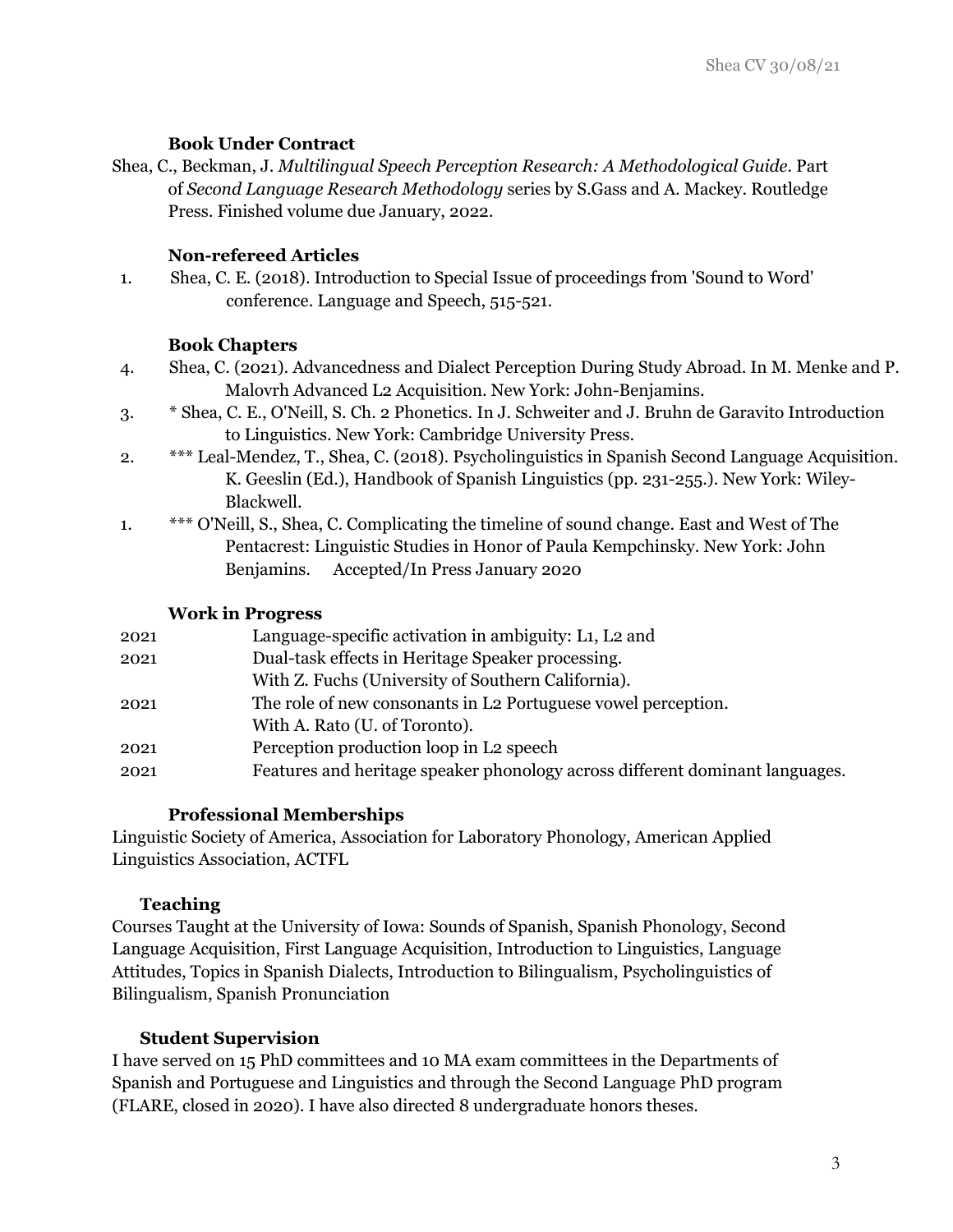#### **Book Under Contract**

Shea, C., Beckman, J. *Multilingual Speech Perception Research: A Methodological Guide.* Part of *Second Language Research Methodology* series by S.Gass and A. Mackey. Routledge Press. Finished volume due January, 2022.

## **Non-refereed Articles**

1. Shea, C. E. (2018). Introduction to Special Issue of proceedings from 'Sound to Word' conference. Language and Speech, 515-521.

## **Book Chapters**

- 4. Shea, C. (2021). Advancedness and Dialect Perception During Study Abroad. In M. Menke and P. Malovrh Advanced L2 Acquisition. New York: John-Benjamins.
- 3. \* Shea, C. E., O'Neill, S. Ch. 2 Phonetics. In J. Schweiter and J. Bruhn de Garavito Introduction to Linguistics. New York: Cambridge University Press.
- 2. \*\*\* Leal-Mendez, T., Shea, C. (2018). Psycholinguistics in Spanish Second Language Acquisition. K. Geeslin (Ed.), Handbook of Spanish Linguistics (pp. 231-255.). New York: Wiley-Blackwell.
- 1. \*\*\* O'Neill, S., Shea, C. Complicating the timeline of sound change. East and West of The Pentacrest: Linguistic Studies in Honor of Paula Kempchinsky. New York: John Benjamins. Accepted/In Press January 2020

#### **Work in Progress**

| 2021 | Language-specific activation in ambiguity: L1, L2 and                        |
|------|------------------------------------------------------------------------------|
| 2021 | Dual-task effects in Heritage Speaker processing.                            |
|      | With Z. Fuchs (University of Southern California).                           |
| 2021 | The role of new consonants in L2 Portuguese vowel perception.                |
|      | With A. Rato (U. of Toronto).                                                |
| 2021 | Perception production loop in L <sub>2</sub> speech                          |
| 2021 | Features and heritage speaker phonology across different dominant languages. |
|      |                                                                              |

## **Professional Memberships**

Linguistic Society of America, Association for Laboratory Phonology, American Applied Linguistics Association, ACTFL

## **Teaching**

Courses Taught at the University of Iowa: Sounds of Spanish, Spanish Phonology, Second Language Acquisition, First Language Acquisition, Introduction to Linguistics, Language Attitudes, Topics in Spanish Dialects, Introduction to Bilingualism, Psycholinguistics of Bilingualism, Spanish Pronunciation

## **Student Supervision**

I have served on 15 PhD committees and 10 MA exam committees in the Departments of Spanish and Portuguese and Linguistics and through the Second Language PhD program (FLARE, closed in 2020). I have also directed 8 undergraduate honors theses.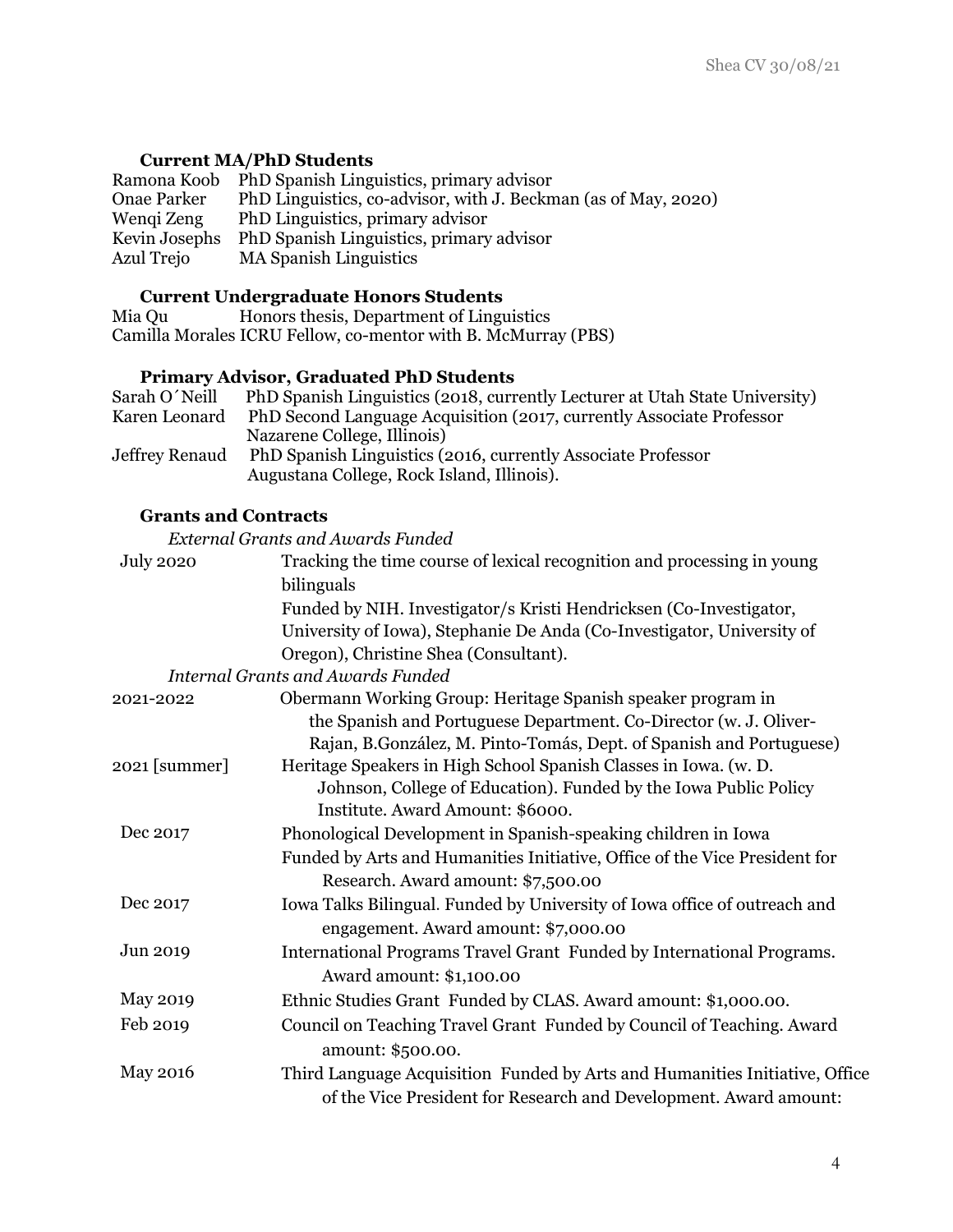#### **Current MA/PhD Students**

Ramona Koob PhD Spanish Linguistics, primary advisor<br>Onae Parker PhD Linguistics, co-advisor, with J. Beckm PhD Linguistics, co-advisor, with J. Beckman (as of May, 2020) Wenqi Zeng PhD Linguistics, primary advisor Kevin Josephs PhD Spanish Linguistics, primary advisor<br>Azul Trejo MA Spanish Linguistics MA Spanish Linguistics

#### **Current Undergraduate Honors Students**

Mia Qu Honors thesis, Department of Linguistics Camilla Morales ICRU Fellow, co-mentor with B. McMurray (PBS)

#### **Primary Advisor, Graduated PhD Students**

| Sarah O'Neill  | PhD Spanish Linguistics (2018, currently Lecturer at Utah State University)                                |
|----------------|------------------------------------------------------------------------------------------------------------|
| Karen Leonard  | PhD Second Language Acquisition (2017, currently Associate Professor                                       |
|                | Nazarene College, Illinois)                                                                                |
| Jeffrey Renaud | PhD Spanish Linguistics (2016, currently Associate Professor<br>Augustana College, Rock Island, Illinois). |
|                |                                                                                                            |

#### **Grants and Contracts**

*External Grants and Awards Funded*

| <b>July 2020</b> | Tracking the time course of lexical recognition and processing in young     |
|------------------|-----------------------------------------------------------------------------|
|                  | bilinguals                                                                  |
|                  | Funded by NIH. Investigator/s Kristi Hendricksen (Co-Investigator,          |
|                  | University of Iowa), Stephanie De Anda (Co-Investigator, University of      |
|                  | Oregon), Christine Shea (Consultant).                                       |
|                  | <b>Internal Grants and Awards Funded</b>                                    |
| 2021-2022        | Obermann Working Group: Heritage Spanish speaker program in                 |
|                  | the Spanish and Portuguese Department. Co-Director (w. J. Oliver-           |
|                  | Rajan, B.González, M. Pinto-Tomás, Dept. of Spanish and Portuguese)         |
| 2021 [summer]    | Heritage Speakers in High School Spanish Classes in Iowa. (w. D.            |
|                  | Johnson, College of Education). Funded by the Iowa Public Policy            |
|                  | Institute. Award Amount: \$6000.                                            |
| Dec 2017         | Phonological Development in Spanish-speaking children in Iowa               |
|                  | Funded by Arts and Humanities Initiative, Office of the Vice President for  |
|                  | Research. Award amount: \$7,500.00                                          |
| Dec 2017         | Iowa Talks Bilingual. Funded by University of Iowa office of outreach and   |
|                  | engagement. Award amount: \$7,000.00                                        |
| Jun 2019         | International Programs Travel Grant Funded by International Programs.       |
|                  | Award amount: \$1,100.00                                                    |
| <b>May 2019</b>  | Ethnic Studies Grant Funded by CLAS. Award amount: \$1,000.00.              |
| Feb 2019         | Council on Teaching Travel Grant Funded by Council of Teaching. Award       |
|                  | amount: \$500.00.                                                           |
| <b>May 2016</b>  | Third Language Acquisition Funded by Arts and Humanities Initiative, Office |
|                  |                                                                             |
|                  | of the Vice President for Research and Development. Award amount:           |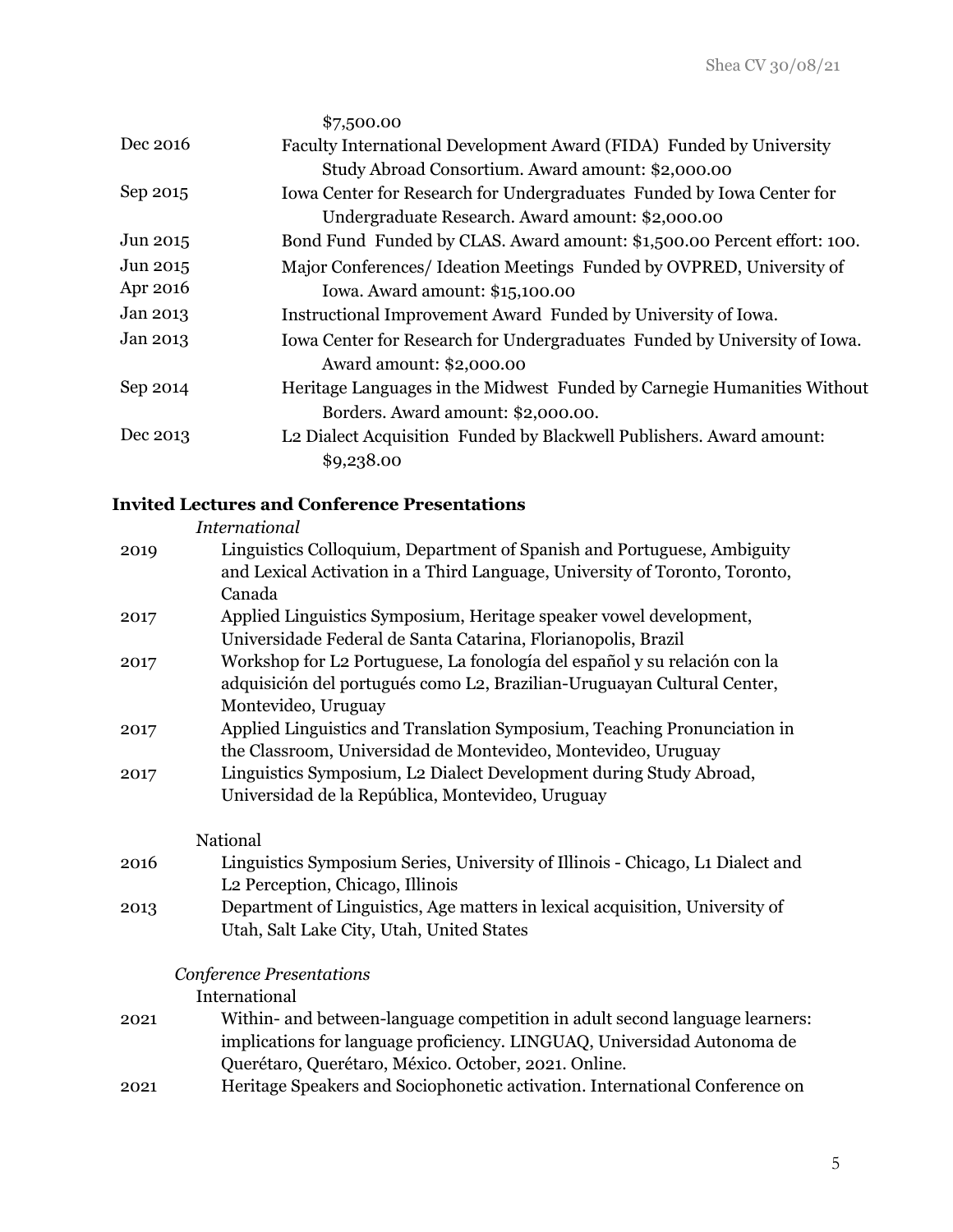|          | \$7,500.00                                                                |
|----------|---------------------------------------------------------------------------|
| Dec 2016 | Faculty International Development Award (FIDA) Funded by University       |
|          | Study Abroad Consortium. Award amount: \$2,000.00                         |
| Sep 2015 | Iowa Center for Research for Undergraduates Funded by Iowa Center for     |
|          | Undergraduate Research. Award amount: \$2,000.00                          |
| Jun 2015 | Bond Fund Funded by CLAS. Award amount: \$1,500.00 Percent effort: 100.   |
| Jun 2015 | Major Conferences/ Ideation Meetings Funded by OVPRED, University of      |
| Apr 2016 | Iowa. Award amount: \$15,100.00                                           |
| Jan 2013 | Instructional Improvement Award Funded by University of Iowa.             |
| Jan 2013 | Iowa Center for Research for Undergraduates Funded by University of Iowa. |
|          | Award amount: \$2,000.00                                                  |
| Sep 2014 | Heritage Languages in the Midwest Funded by Carnegie Humanities Without   |
|          | Borders. Award amount: \$2,000.00.                                        |
| Dec 2013 | L2 Dialect Acquisition Funded by Blackwell Publishers. Award amount:      |
|          | \$9,238.00                                                                |

## **Invited Lectures and Conference Presentations**

|      | <b>International</b>                                                           |
|------|--------------------------------------------------------------------------------|
| 2019 | Linguistics Colloquium, Department of Spanish and Portuguese, Ambiguity        |
|      | and Lexical Activation in a Third Language, University of Toronto, Toronto,    |
|      | Canada                                                                         |
| 2017 | Applied Linguistics Symposium, Heritage speaker vowel development,             |
|      | Universidade Federal de Santa Catarina, Florianopolis, Brazil                  |
| 2017 | Workshop for L2 Portuguese, La fonología del español y su relación con la      |
|      | adquisición del portugués como L2, Brazilian-Uruguayan Cultural Center,        |
|      | Montevideo, Uruguay                                                            |
| 2017 | Applied Linguistics and Translation Symposium, Teaching Pronunciation in       |
|      | the Classroom, Universidad de Montevideo, Montevideo, Uruguay                  |
| 2017 | Linguistics Symposium, L2 Dialect Development during Study Abroad,             |
|      | Universidad de la República, Montevideo, Uruguay                               |
|      | National                                                                       |
| 2016 | Linguistics Symposium Series, University of Illinois - Chicago, La Dialect and |
|      | L <sub>2</sub> Perception, Chicago, Illinois                                   |
| 2013 | Department of Linguistics, Age matters in lexical acquisition, University of   |
|      | Utah, Salt Lake City, Utah, United States                                      |
|      | Conference Presentations                                                       |
|      | International                                                                  |
| 2021 | Within- and between-language competition in adult second language learners:    |
|      | implications for language proficiency. LINGUAQ, Universidad Autonoma de        |
|      | Querétaro, Querétaro, México. October, 2021. Online.                           |
| 2021 | Heritage Speakers and Sociophonetic activation. International Conference on    |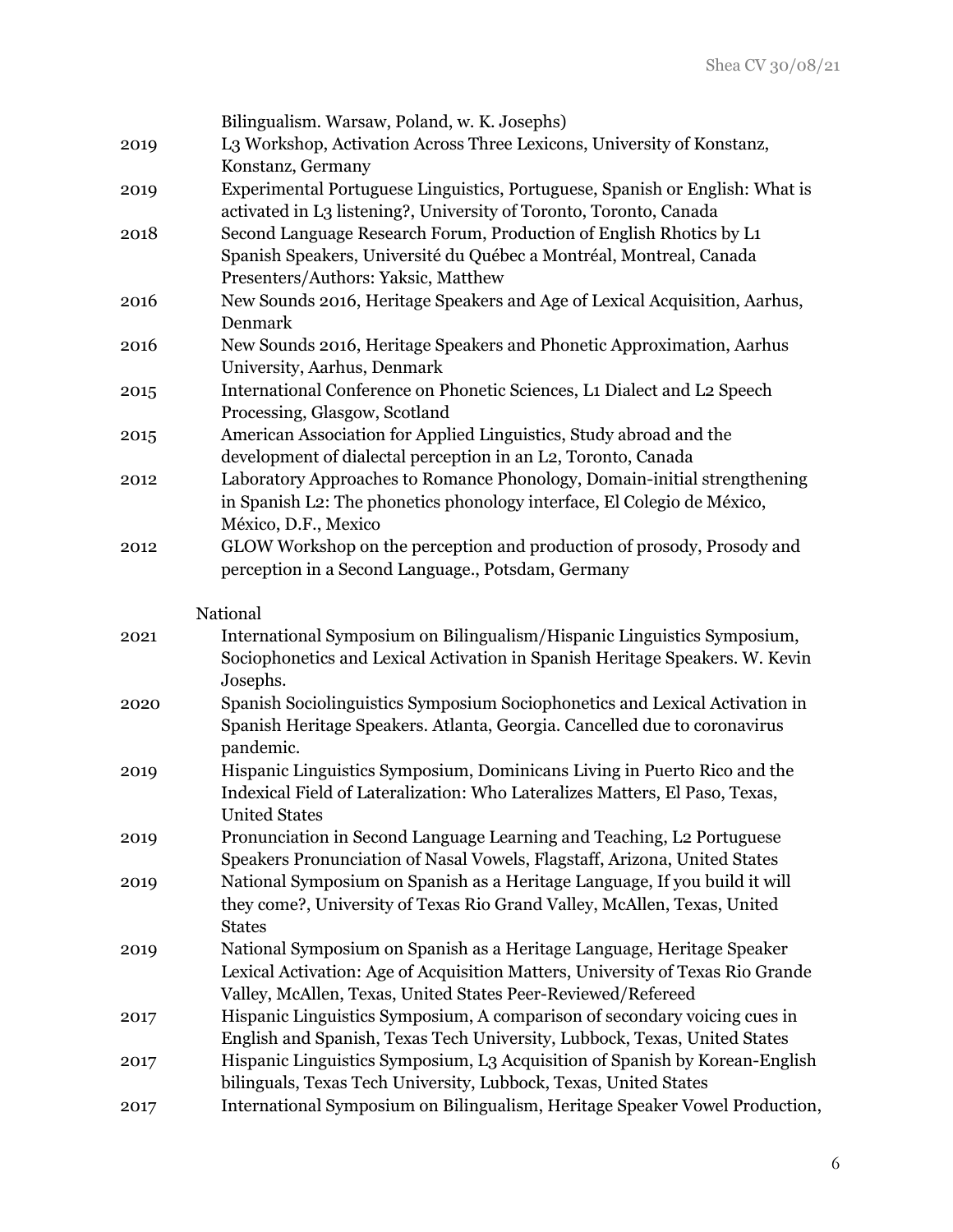|      | Bilingualism. Warsaw, Poland, w. K. Josephs)                                   |
|------|--------------------------------------------------------------------------------|
| 2019 | L3 Workshop, Activation Across Three Lexicons, University of Konstanz,         |
|      | Konstanz, Germany                                                              |
| 2019 | Experimental Portuguese Linguistics, Portuguese, Spanish or English: What is   |
|      | activated in L3 listening?, University of Toronto, Toronto, Canada             |
| 2018 | Second Language Research Forum, Production of English Rhotics by L1            |
|      | Spanish Speakers, Université du Québec a Montréal, Montreal, Canada            |
|      | Presenters/Authors: Yaksic, Matthew                                            |
| 2016 | New Sounds 2016, Heritage Speakers and Age of Lexical Acquisition, Aarhus,     |
|      | Denmark                                                                        |
| 2016 | New Sounds 2016, Heritage Speakers and Phonetic Approximation, Aarhus          |
|      | University, Aarhus, Denmark                                                    |
| 2015 | International Conference on Phonetic Sciences, L1 Dialect and L2 Speech        |
|      | Processing, Glasgow, Scotland                                                  |
| 2015 | American Association for Applied Linguistics, Study abroad and the             |
|      | development of dialectal perception in an L2, Toronto, Canada                  |
| 2012 | Laboratory Approaches to Romance Phonology, Domain-initial strengthening       |
|      | in Spanish L2: The phonetics phonology interface, El Colegio de México,        |
|      | México, D.F., Mexico                                                           |
| 2012 | GLOW Workshop on the perception and production of prosody, Prosody and         |
|      | perception in a Second Language., Potsdam, Germany                             |
|      |                                                                                |
|      | National                                                                       |
| 2021 | International Symposium on Bilingualism/Hispanic Linguistics Symposium,        |
|      | Sociophonetics and Lexical Activation in Spanish Heritage Speakers. W. Kevin   |
|      | Josephs.                                                                       |
| 2020 | Spanish Sociolinguistics Symposium Sociophonetics and Lexical Activation in    |
|      | Spanish Heritage Speakers. Atlanta, Georgia. Cancelled due to coronavirus      |
|      | pandemic.                                                                      |
| 2019 | Hispanic Linguistics Symposium, Dominicans Living in Puerto Rico and the       |
|      | Indexical Field of Lateralization: Who Lateralizes Matters, El Paso, Texas,    |
|      | <b>United States</b>                                                           |
| 2019 | Pronunciation in Second Language Learning and Teaching, L2 Portuguese          |
|      | Speakers Pronunciation of Nasal Vowels, Flagstaff, Arizona, United States      |
| 2019 | National Symposium on Spanish as a Heritage Language, If you build it will     |
|      | they come?, University of Texas Rio Grand Valley, McAllen, Texas, United       |
|      | <b>States</b>                                                                  |
| 2019 | National Symposium on Spanish as a Heritage Language, Heritage Speaker         |
|      | Lexical Activation: Age of Acquisition Matters, University of Texas Rio Grande |
|      | Valley, McAllen, Texas, United States Peer-Reviewed/Refereed                   |
| 2017 | Hispanic Linguistics Symposium, A comparison of secondary voicing cues in      |
|      | English and Spanish, Texas Tech University, Lubbock, Texas, United States      |
| 2017 | Hispanic Linguistics Symposium, L3 Acquisition of Spanish by Korean-English    |
|      | bilinguals, Texas Tech University, Lubbock, Texas, United States               |
| 2017 | International Symposium on Bilingualism, Heritage Speaker Vowel Production,    |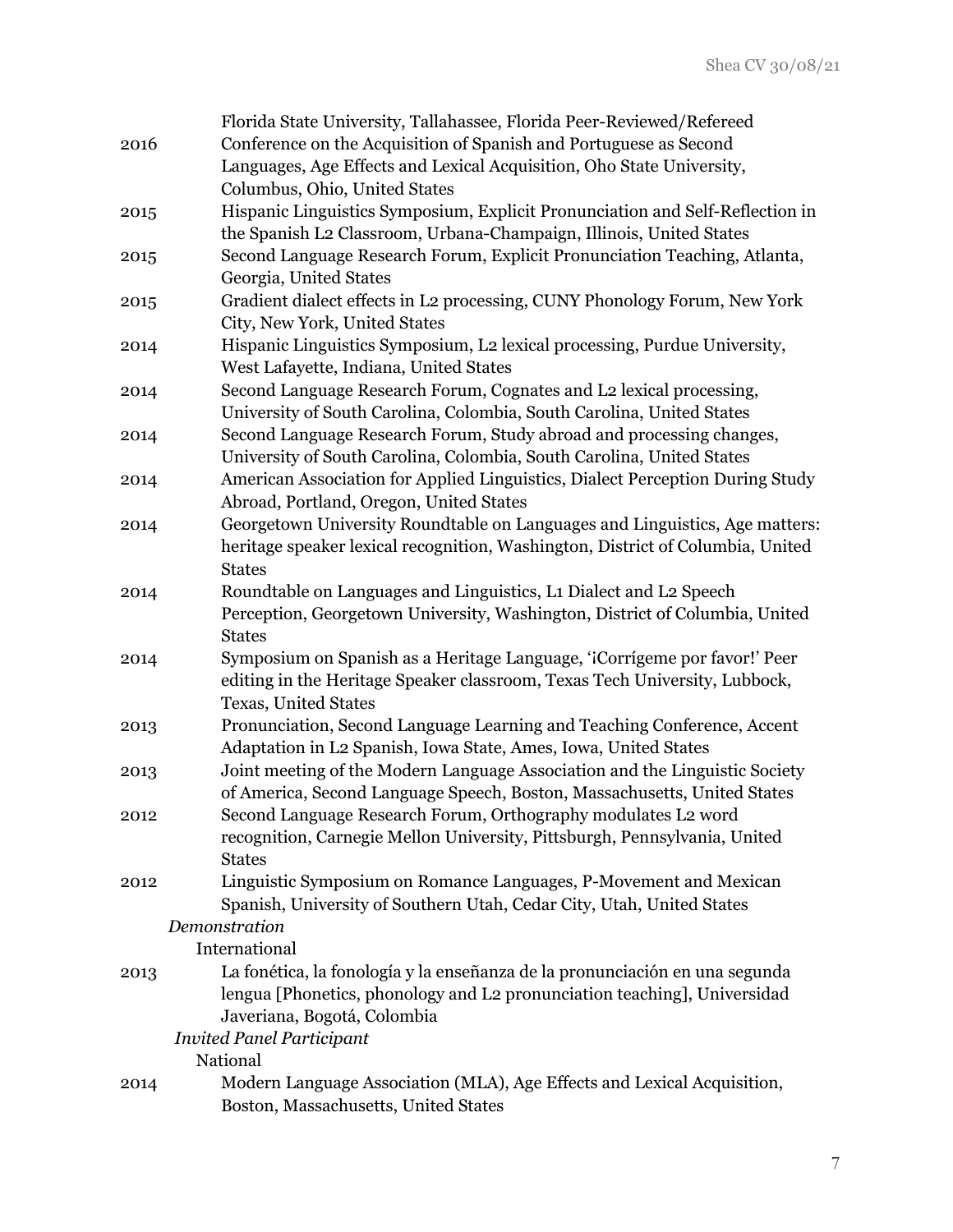|      | Florida State University, Tallahassee, Florida Peer-Reviewed/Refereed          |
|------|--------------------------------------------------------------------------------|
| 2016 | Conference on the Acquisition of Spanish and Portuguese as Second              |
|      | Languages, Age Effects and Lexical Acquisition, Oho State University,          |
|      | Columbus, Ohio, United States                                                  |
| 2015 | Hispanic Linguistics Symposium, Explicit Pronunciation and Self-Reflection in  |
|      | the Spanish L2 Classroom, Urbana-Champaign, Illinois, United States            |
| 2015 | Second Language Research Forum, Explicit Pronunciation Teaching, Atlanta,      |
|      | Georgia, United States                                                         |
|      | Gradient dialect effects in L2 processing, CUNY Phonology Forum, New York      |
| 2015 |                                                                                |
|      | City, New York, United States                                                  |
| 2014 | Hispanic Linguistics Symposium, L2 lexical processing, Purdue University,      |
|      | West Lafayette, Indiana, United States                                         |
| 2014 | Second Language Research Forum, Cognates and L2 lexical processing,            |
|      | University of South Carolina, Colombia, South Carolina, United States          |
| 2014 | Second Language Research Forum, Study abroad and processing changes,           |
|      | University of South Carolina, Colombia, South Carolina, United States          |
| 2014 | American Association for Applied Linguistics, Dialect Perception During Study  |
|      | Abroad, Portland, Oregon, United States                                        |
| 2014 | Georgetown University Roundtable on Languages and Linguistics, Age matters:    |
|      | heritage speaker lexical recognition, Washington, District of Columbia, United |
|      | <b>States</b>                                                                  |
| 2014 | Roundtable on Languages and Linguistics, L1 Dialect and L2 Speech              |
|      | Perception, Georgetown University, Washington, District of Columbia, United    |
|      | <b>States</b>                                                                  |
| 2014 | Symposium on Spanish as a Heritage Language, 'iCorrígeme por favor!' Peer      |
|      | editing in the Heritage Speaker classroom, Texas Tech University, Lubbock,     |
|      | Texas, United States                                                           |
| 2013 | Pronunciation, Second Language Learning and Teaching Conference, Accent        |
|      | Adaptation in L2 Spanish, Iowa State, Ames, Iowa, United States                |
| 2013 | Joint meeting of the Modern Language Association and the Linguistic Society    |
|      | of America, Second Language Speech, Boston, Massachusetts, United States       |
| 2012 | Second Language Research Forum, Orthography modulates L2 word                  |
|      | recognition, Carnegie Mellon University, Pittsburgh, Pennsylvania, United      |
|      | <b>States</b>                                                                  |
| 2012 | Linguistic Symposium on Romance Languages, P-Movement and Mexican              |
|      | Spanish, University of Southern Utah, Cedar City, Utah, United States          |
|      | Demonstration                                                                  |
|      | International                                                                  |
| 2013 | La fonética, la fonología y la enseñanza de la pronunciación en una segunda    |
|      | lengua [Phonetics, phonology and L2 pronunciation teaching], Universidad       |
|      | Javeriana, Bogotá, Colombia                                                    |
|      | <b>Invited Panel Participant</b>                                               |
|      | National                                                                       |
| 2014 | Modern Language Association (MLA), Age Effects and Lexical Acquisition,        |
|      | Boston, Massachusetts, United States                                           |
|      |                                                                                |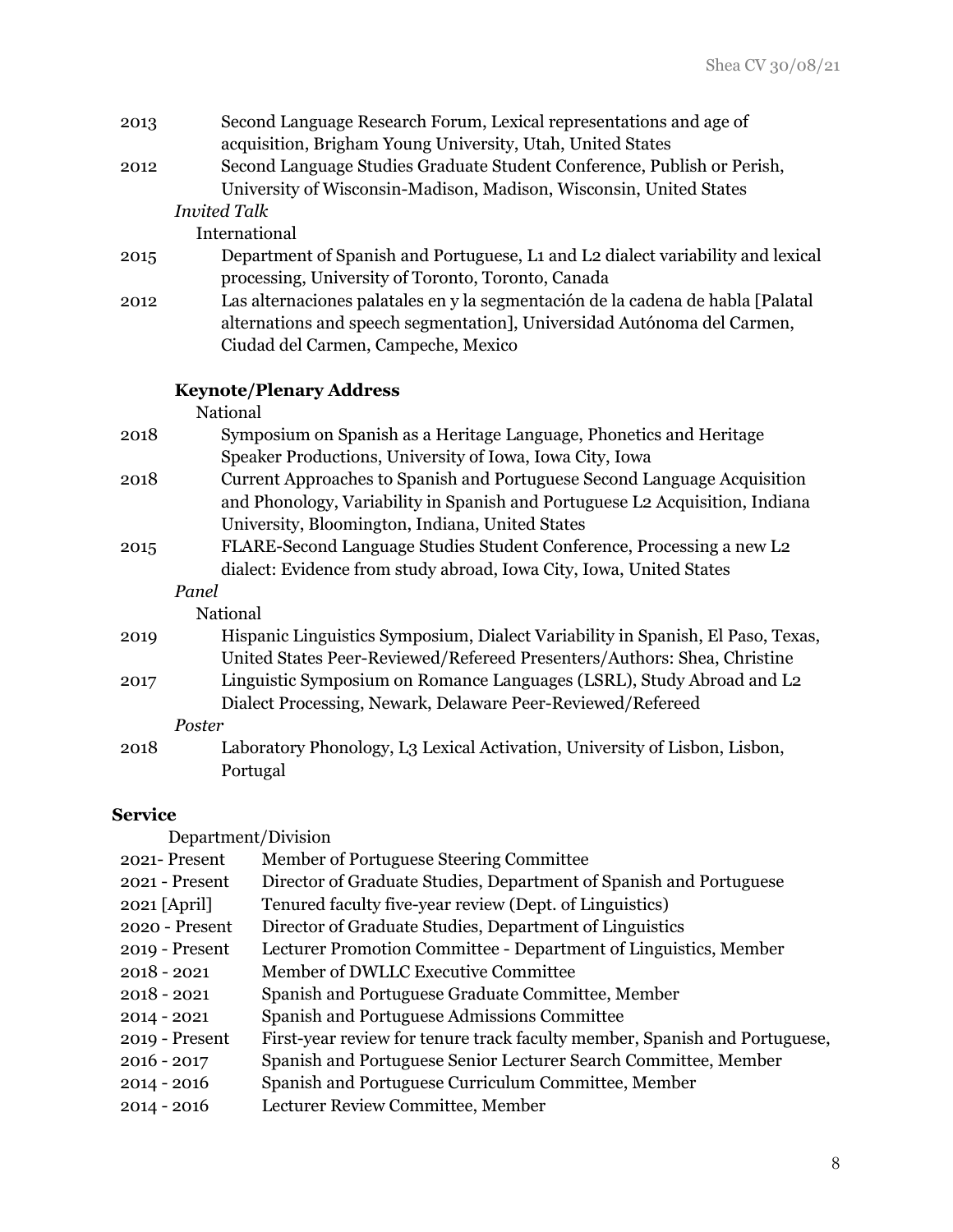| 2013               | Second Language Research Forum, Lexical representations and age of<br>acquisition, Brigham Young University, Utah, United States                                                                            |
|--------------------|-------------------------------------------------------------------------------------------------------------------------------------------------------------------------------------------------------------|
| 2012               | Second Language Studies Graduate Student Conference, Publish or Perish,<br>University of Wisconsin-Madison, Madison, Wisconsin, United States                                                               |
|                    | <b>Invited Talk</b>                                                                                                                                                                                         |
|                    | International                                                                                                                                                                                               |
| 2015               | Department of Spanish and Portuguese, L1 and L2 dialect variability and lexical<br>processing, University of Toronto, Toronto, Canada                                                                       |
| 2012               | Las alternaciones palatales en y la segmentación de la cadena de habla [Palatal]<br>alternations and speech segmentation], Universidad Autónoma del Carmen,<br>Ciudad del Carmen, Campeche, Mexico          |
|                    | <b>Keynote/Plenary Address</b>                                                                                                                                                                              |
|                    | National                                                                                                                                                                                                    |
| 2018               | Symposium on Spanish as a Heritage Language, Phonetics and Heritage<br>Speaker Productions, University of Iowa, Iowa City, Iowa                                                                             |
| 2018               | Current Approaches to Spanish and Portuguese Second Language Acquisition<br>and Phonology, Variability in Spanish and Portuguese L2 Acquisition, Indiana<br>University, Bloomington, Indiana, United States |
| 2015               | FLARE-Second Language Studies Student Conference, Processing a new L2<br>dialect: Evidence from study abroad, Iowa City, Iowa, United States                                                                |
|                    | Panel                                                                                                                                                                                                       |
|                    | National                                                                                                                                                                                                    |
| 2019               | Hispanic Linguistics Symposium, Dialect Variability in Spanish, El Paso, Texas,<br>United States Peer-Reviewed/Refereed Presenters/Authors: Shea, Christine                                                 |
| 2017               | Linguistic Symposium on Romance Languages (LSRL), Study Abroad and L2<br>Dialect Processing, Newark, Delaware Peer-Reviewed/Refereed                                                                        |
|                    | Poster                                                                                                                                                                                                      |
| 2018               | Laboratory Phonology, L3 Lexical Activation, University of Lisbon, Lisbon,                                                                                                                                  |
|                    | Portugal                                                                                                                                                                                                    |
| $\mathbf{S}$ omico |                                                                                                                                                                                                             |

#### **Service**

| Department/Division |                                                                            |
|---------------------|----------------------------------------------------------------------------|
| 2021-Present        | Member of Portuguese Steering Committee                                    |
| $2021 -$ Present    | Director of Graduate Studies, Department of Spanish and Portuguese         |
| 2021 [April]        | Tenured faculty five-year review (Dept. of Linguistics)                    |
| 2020 - Present      | Director of Graduate Studies, Department of Linguistics                    |
| 2019 - Present      | Lecturer Promotion Committee - Department of Linguistics, Member           |
| $2018 - 2021$       | Member of DWLLC Executive Committee                                        |
| $2018 - 2021$       | Spanish and Portuguese Graduate Committee, Member                          |
| $2014 - 2021$       | Spanish and Portuguese Admissions Committee                                |
| 2019 - Present      | First-year review for tenure track faculty member, Spanish and Portuguese, |
| $2016 - 2017$       | Spanish and Portuguese Senior Lecturer Search Committee, Member            |
| $2014 - 2016$       | Spanish and Portuguese Curriculum Committee, Member                        |
| $2014 - 2016$       | Lecturer Review Committee, Member                                          |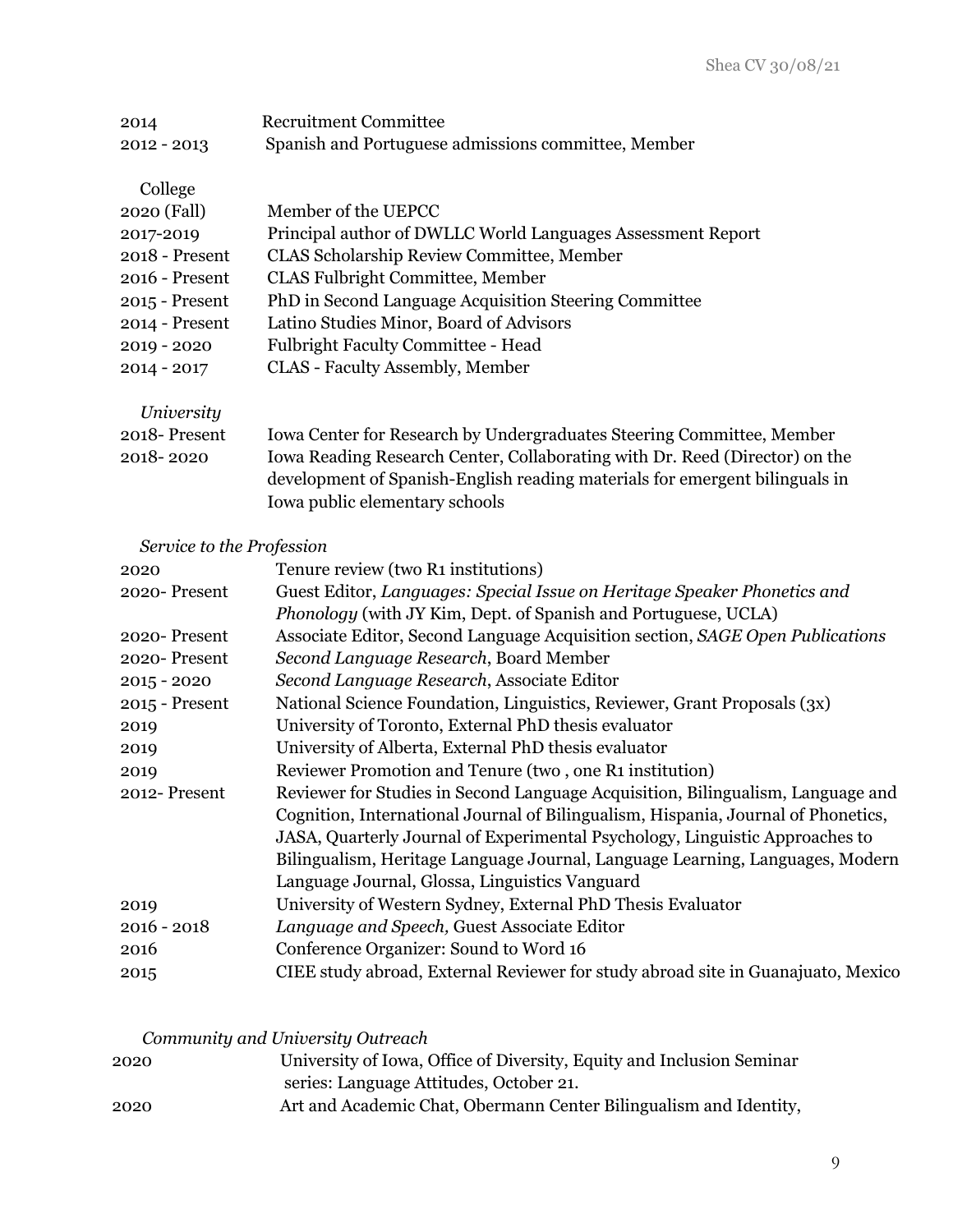| 2014                                    | <b>Recruitment Committee</b>                                                                                                                                                                                                                                                 |
|-----------------------------------------|------------------------------------------------------------------------------------------------------------------------------------------------------------------------------------------------------------------------------------------------------------------------------|
| $2012 - 2013$                           | Spanish and Portuguese admissions committee, Member                                                                                                                                                                                                                          |
| College<br>2020 (Fall)                  | Member of the UEPCC                                                                                                                                                                                                                                                          |
| 2017-2019                               | Principal author of DWLLC World Languages Assessment Report                                                                                                                                                                                                                  |
| $2018$ - Present                        | <b>CLAS Scholarship Review Committee, Member</b>                                                                                                                                                                                                                             |
| 2016 - Present                          | <b>CLAS Fulbright Committee, Member</b>                                                                                                                                                                                                                                      |
| 2015 - Present                          | PhD in Second Language Acquisition Steering Committee                                                                                                                                                                                                                        |
| 2014 - Present                          | Latino Studies Minor, Board of Advisors                                                                                                                                                                                                                                      |
| 2019 - 2020                             | <b>Fulbright Faculty Committee - Head</b>                                                                                                                                                                                                                                    |
| $2014 - 2017$                           | CLAS - Faculty Assembly, Member                                                                                                                                                                                                                                              |
| University<br>2018-Present<br>2018-2020 | <b>Iowa Center for Research by Undergraduates Steering Committee, Member</b><br>Iowa Reading Research Center, Collaborating with Dr. Reed (Director) on the<br>development of Spanish-English reading materials for emergent bilinguals in<br>Iowa public elementary schools |

## *Service to the Profession*

| 2020           | Tenure review (two R1 institutions)                                               |
|----------------|-----------------------------------------------------------------------------------|
| 2020-Present   | Guest Editor, Languages: Special Issue on Heritage Speaker Phonetics and          |
|                | Phonology (with JY Kim, Dept. of Spanish and Portuguese, UCLA)                    |
| 2020-Present   | Associate Editor, Second Language Acquisition section, SAGE Open Publications     |
| 2020-Present   | Second Language Research, Board Member                                            |
| $2015 - 2020$  | Second Language Research, Associate Editor                                        |
| 2015 - Present | National Science Foundation, Linguistics, Reviewer, Grant Proposals (3x)          |
| 2019           | University of Toronto, External PhD thesis evaluator                              |
| 2019           | University of Alberta, External PhD thesis evaluator                              |
| 2019           | Reviewer Promotion and Tenure (two, one R1 institution)                           |
| 2012-Present   | Reviewer for Studies in Second Language Acquisition, Bilingualism, Language and   |
|                | Cognition, International Journal of Bilingualism, Hispania, Journal of Phonetics, |
|                | JASA, Quarterly Journal of Experimental Psychology, Linguistic Approaches to      |
|                | Bilingualism, Heritage Language Journal, Language Learning, Languages, Modern     |
|                | Language Journal, Glossa, Linguistics Vanguard                                    |
| 2019           | University of Western Sydney, External PhD Thesis Evaluator                       |
| $2016 - 2018$  | Language and Speech, Guest Associate Editor                                       |
| 2016           | Conference Organizer: Sound to Word 16                                            |
| 2015           | CIEE study abroad, External Reviewer for study abroad site in Guanajuato, Mexico  |

# *Community and University Outreach*

| 2020 | University of Iowa, Office of Diversity, Equity and Inclusion Seminar |
|------|-----------------------------------------------------------------------|
|      | series: Language Attitudes, October 21.                               |
| 2020 | Art and Academic Chat, Obermann Center Bilingualism and Identity,     |